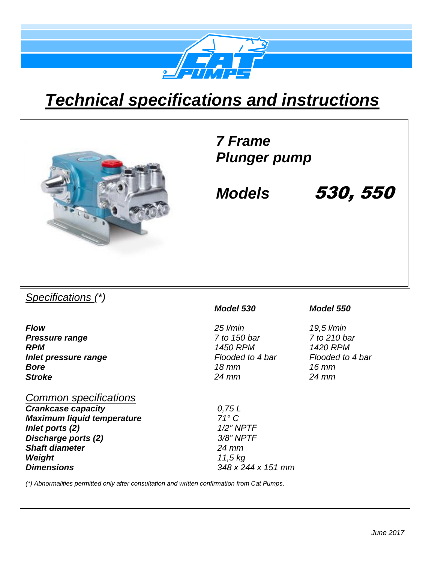

# *Technical specifications and instructions*



### *7 Frame Plunger pump*

*Models* 530, 550

### *Specifications (\*)*

*Flow 25 l/min 19,5 l/min Pressure range 7 to 150 bar 7 to 210 bar RPM 1450 RPM 1420 RPM Inlet pressure range Flooded to 4 bar Flooded to 4 bar Bore 18 mm 16 mm Stroke 24 mm 24 mm*

#### *Common specifications*

*Crankcase capacity 0,75 L Maximum liquid temperature 71° C Inlet ports (2) 1/2" NPTF Discharge ports (2) 3/8" NPTF Shaft diameter 24 mm Weight 11,5 kg Dimensions 348 x 244 x 151 mm* 

#### *Model 530 Model 550*

*(\*) Abnormalities permitted only after consultation and written confirmation from Cat Pumps.*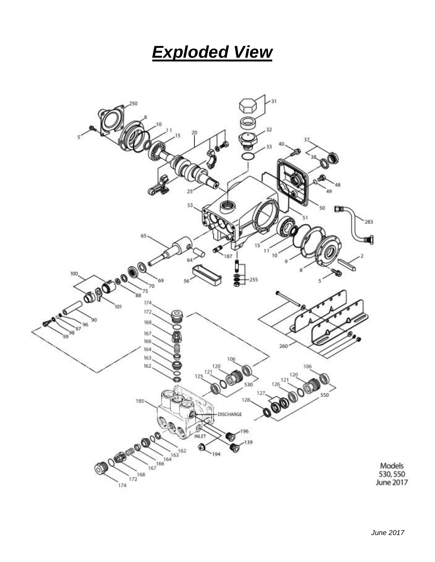### *Exploded View*

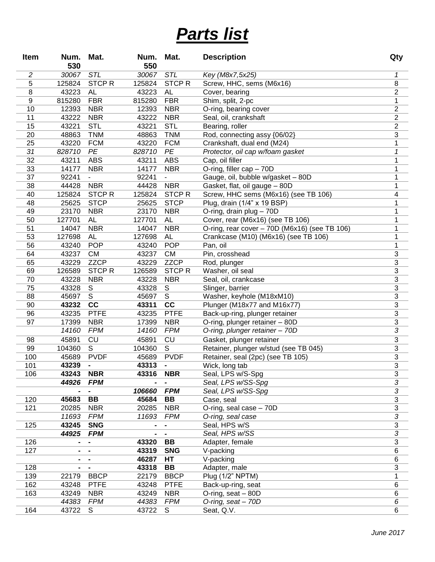## *Parts list*

| Item                    | Num.            | Mat.                    | Num.            | Mat.             | <b>Description</b>                                                                    | Qty                       |
|-------------------------|-----------------|-------------------------|-----------------|------------------|---------------------------------------------------------------------------------------|---------------------------|
|                         | 530             |                         | 550             |                  |                                                                                       |                           |
| $\overline{\mathbf{c}}$ | 30067           | STL                     | 30067           | STL              | Key (M8x7,5x25)                                                                       | 1                         |
| 5                       | 125824          | <b>STCPR</b>            | 125824          | <b>STCPR</b>     | Screw, HHC, sems (M6x16)                                                              | 8                         |
| 8                       | 43223           | <b>AL</b>               | 43223           | AL               | Cover, bearing                                                                        | $\mathbf 2$               |
| 9                       | 815280          | <b>FBR</b>              | 815280          | <b>FBR</b>       | Shim, split, 2-pc                                                                     | 1                         |
| 10                      | 12393           | <b>NBR</b>              | 12393           | <b>NBR</b>       | O-ring, bearing cover                                                                 | $\mathbf 2$               |
| 11                      | 43222           | <b>NBR</b>              | 43222           | <b>NBR</b>       | Seal, oil, crankshaft                                                                 | $\overline{c}$            |
| 15                      | 43221           | <b>STL</b>              | 43221           | <b>STL</b>       | Bearing, roller                                                                       | $\overline{2}$            |
| 20                      | 48863           | <b>TNM</b>              | 48863           | <b>TNM</b>       | Rod, connecting assy {06/02}                                                          | $\overline{3}$            |
| 25                      | 43220           | <b>FCM</b>              | 43220           | <b>FCM</b>       | Crankshaft, dual end (M24)                                                            | 1                         |
| 31                      | 828710          | PE                      | 828710          | PE               | Protector, oil cap w/foam gasket                                                      | $\mathcal I$              |
| 32                      | 43211           | <b>ABS</b>              | 43211           | <b>ABS</b>       | Cap, oil filler                                                                       | 1                         |
| 33                      | 14177           | <b>NBR</b>              | 14177           | <b>NBR</b>       | O-ring, filler cap - 70D                                                              | 1                         |
| 37                      | 92241           |                         | 92241           |                  | Gauge, oil, bubble w/gasket - 80D                                                     | 1                         |
| 38                      | 44428           | <b>NBR</b>              | 44428           | <b>NBR</b>       | Gasket, flat, oil gauge - 80D                                                         | 1                         |
| 40                      | 125824          | <b>STCPR</b>            | 125824          | <b>STCPR</b>     | Screw, HHC sems (M6x16) (see TB 106)                                                  | 4                         |
| 48                      | 25625           | <b>STCP</b>             | 25625           | <b>STCP</b>      | Plug, drain (1/4" x 19 BSP)                                                           | 1                         |
| 49                      | 23170           | <b>NBR</b>              | 23170           | <b>NBR</b>       | O-ring, drain plug - 70D                                                              | 1                         |
| 50                      | 127701          | <b>AL</b>               | 127701          | AL               | Cover, rear (M6x16) (see TB 106)                                                      | 1                         |
| 51<br>53                | 14047<br>127698 | <b>NBR</b><br><b>AL</b> | 14047           | <b>NBR</b>       | O-ring, rear cover - 70D (M6x16) (see TB 106)<br>Crankcase (M10) (M6x16) (see TB 106) | 1<br>1                    |
| 56                      | 43240           | <b>POP</b>              | 127698<br>43240 | AL<br><b>POP</b> | Pan, oil                                                                              | 1                         |
| 64                      | 43237           | <b>CM</b>               | 43237           | <b>CM</b>        | Pin, crosshead                                                                        | $\ensuremath{\mathsf{3}}$ |
| 65                      | 43229           | <b>ZZCP</b>             | 43229           | <b>ZZCP</b>      | Rod, plunger                                                                          | $\overline{3}$            |
| 69                      | 126589          | <b>STCPR</b>            | 126589          | <b>STCPR</b>     | Washer, oil seal                                                                      | $\overline{3}$            |
| 70                      | 43228           | <b>NBR</b>              | 43228           | <b>NBR</b>       | Seal, oil, crankcase                                                                  | $\overline{3}$            |
| 75                      | 43328           | S                       | 43328           | S                | Slinger, barrier                                                                      | $\overline{3}$            |
| 88                      | 45697           | $\overline{s}$          | 45697           | S                | Washer, keyhole (M18xM10)                                                             | $\overline{3}$            |
| 90                      | 43232           | cc                      | 43311           | cc               | Plunger (M18x77 and M16x77)                                                           | $\overline{3}$            |
| 96                      | 43235           | <b>PTFE</b>             | 43235           | <b>PTFE</b>      | Back-up-ring, plunger retainer                                                        | $\overline{3}$            |
| 97                      | 17399           | <b>NBR</b>              | 17399           | <b>NBR</b>       | O-ring, plunger retainer - 80D                                                        | $\overline{3}$            |
|                         | 14160           | <b>FPM</b>              | 14160           | FPM              | O-ring, plunger retainer - 70D                                                        | $\overline{3}$            |
| 98                      | 45891           | CU                      | 45891           | <b>CU</b>        | Gasket, plunger retainer                                                              | $\ensuremath{\mathsf{3}}$ |
| 99                      | 104360          | S                       | 104360          | S                | Retainer, plunger w/stud (see TB 045)                                                 | $\overline{3}$            |
| 100                     | 45689           | <b>PVDF</b>             | 45689           | <b>PVDF</b>      | Retainer, seal (2pc) (see TB 105)                                                     | $\overline{3}$            |
| 101                     | 43239           | $\blacksquare$          | 43313           | $\blacksquare$   | Wick, long tab                                                                        | $\overline{3}$            |
| 106                     | 43243           | <b>NBR</b>              | 43316           | <b>NBR</b>       | Seal, LPS w/S-Spg                                                                     | 3                         |
|                         | 44926           | <b>FPM</b>              |                 |                  | Seal, LPS w/SS-Spg                                                                    | $\overline{3}$            |
|                         |                 | -                       | 106660          | <b>FPM</b>       | Seal, LPS w/SS-Spg                                                                    | 3                         |
| 120                     | 45683           | BB                      | 45684           | BB               | Case, seal                                                                            | $\mathfrak{S}$            |
| 121                     | 20285           | <b>NBR</b>              | 20285           | <b>NBR</b>       | O-ring, seal case $-70D$                                                              | $\mathfrak{S}$            |
|                         | 11693           | <b>FPM</b>              | 11693           | <b>FPM</b>       | O-ring, seal case                                                                     | $\overline{3}$            |
| 125                     | 43245           | <b>SNG</b>              |                 |                  | Seal, HPS w/S                                                                         | $\mathfrak{S}$            |
|                         | 44925           | <b>FPM</b>              |                 |                  | Seal, HPS w/SS                                                                        | 3                         |
| 126                     |                 | -                       | 43320           | BB               | Adapter, female                                                                       | $\mathfrak{S}$            |
| 127                     | $\blacksquare$  |                         | 43319           | <b>SNG</b>       | V-packing                                                                             | 6                         |
|                         |                 |                         | 46287           | НT               | V-packing                                                                             | 6                         |
| 128                     | $\blacksquare$  |                         | 43318           | BB               | Adapter, male                                                                         | 3                         |
| 139                     | 22179           | <b>BBCP</b>             | 22179           | <b>BBCP</b>      | Plug (1/2" NPTM)                                                                      | 1                         |
| 162                     | 43248           | <b>PTFE</b>             | 43248           | <b>PTFE</b>      | Back-up-ring, seat                                                                    | 6                         |
| 163                     | 43249           | <b>NBR</b>              | 43249           | <b>NBR</b>       | O-ring, seat - 80D                                                                    | 6                         |
|                         | 44383           | <b>FPM</b>              | 44383           | <b>FPM</b>       | O-ring, seat - 70D                                                                    | 6                         |
| 164                     | 43722           | S                       | 43722           | S.               | Seat, Q.V.                                                                            | 6                         |